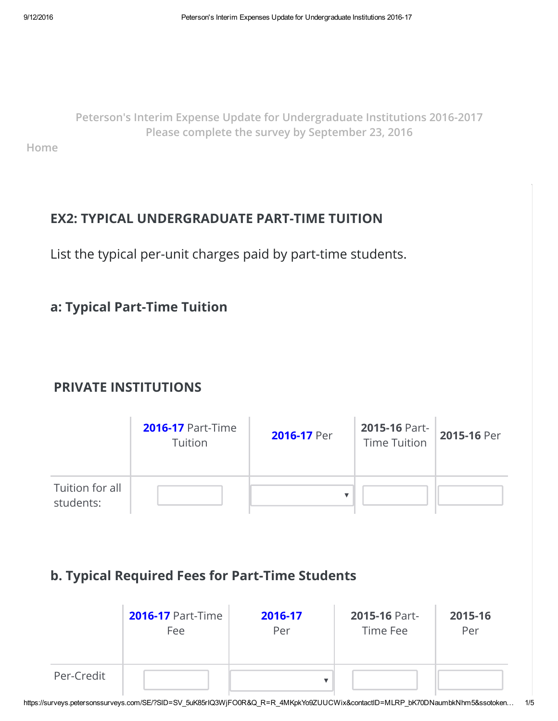Peterson's Interim Expense Update for Undergraduate Institutions 2016-2017 Please complete the survey by September 23, 2016

[Home](https://survey.qualtrics.com/SE/?SID=SV_7PXOfcKSF2e6k61&ssotoken=mpK2a6rDyQVbyhzg+aJIhsNNx4lld67bsdp1UDkEHL5PgVkIS8GcTHQrRkhd4Koo+B5iIJmiBS20gNW8kMPE5P0ZTFaf38IO90Dj6D2nhBpe0qHM0ay4ZGz38VHPmksuoM7LoX/m1gxWkl1qPQnl90yc4Qwk8g9RgY2F/xx6JJc=)

### EX2: TYPICAL UNDERGRADUATE PART-TIME TUITION

List the typical per-unit charges paid by part-time students.

## a: Typical Part-Time Tuition

# PRIVATE INSTITUTIONS

|                              | <b>2016-17 Part-Time</b><br>Tuition | 2016-17 Per | <b>2015-16</b> Part-<br>Time Tuition | 2015-16 Per |
|------------------------------|-------------------------------------|-------------|--------------------------------------|-------------|
| Tuition for all<br>students: |                                     |             |                                      |             |

### b. Typical Required Fees for Part-Time Students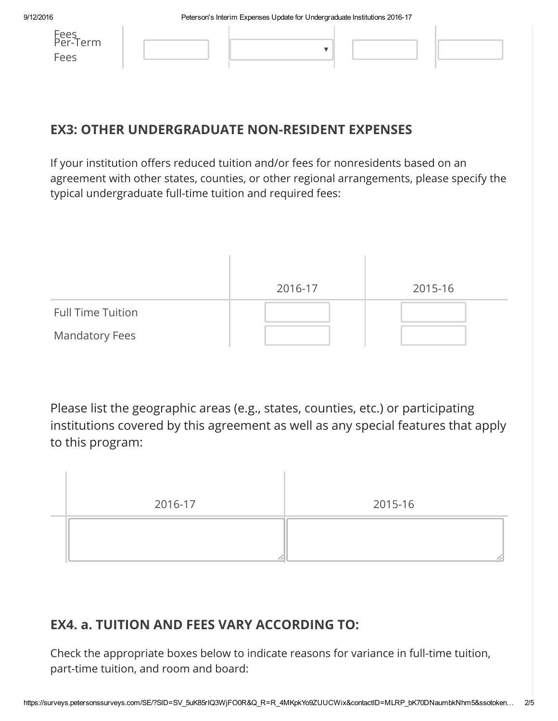9/12/2016 **Peterson's Interim Expenses Update for Undergraduate Institutions 2016-17** 

| Fees<br>Per-Term<br>Fees                                                                                                                                                                                                                       | ▼       |         |
|------------------------------------------------------------------------------------------------------------------------------------------------------------------------------------------------------------------------------------------------|---------|---------|
| <b>EX3: OTHER UNDERGRADUATE NON-RESIDENT EXPENSES</b>                                                                                                                                                                                          |         |         |
| If your institution offers reduced tuition and/or fees for nonresidents based on an<br>agreement with other states, counties, or other regional arrangements, please specify the<br>typical undergraduate full-time tuition and required fees: |         |         |
|                                                                                                                                                                                                                                                |         |         |
|                                                                                                                                                                                                                                                | 2016-17 | 2015-16 |
| <b>Full Time Tuition</b>                                                                                                                                                                                                                       |         |         |
| <b>Mandatory Fees</b>                                                                                                                                                                                                                          |         |         |

Please list the geographic areas (e.g., states, counties, etc.) or participating institutions covered by this agreement as well as any special features that apply to this program:

| 2016-17 | 2015-16 |
|---------|---------|
|         |         |

#### EX4. a. TUITION AND FEES VARY ACCORDING TO:

Check the appropriate boxes below to indicate reasons for variance in full-time tuition, part-time tuition, and room and board: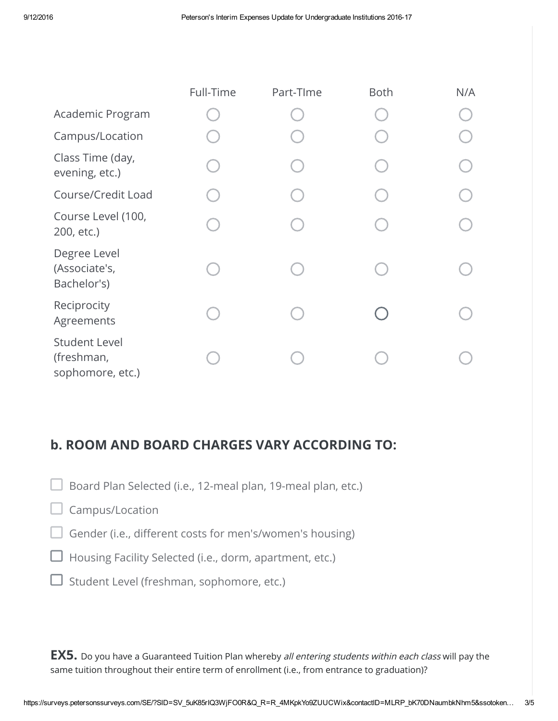|                                                        | Full-Time | Part-TIme | <b>Both</b> | N/A |
|--------------------------------------------------------|-----------|-----------|-------------|-----|
| Academic Program                                       |           |           |             |     |
| Campus/Location                                        |           |           |             |     |
| Class Time (day,<br>evening, etc.)                     |           |           |             |     |
| Course/Credit Load                                     |           |           |             |     |
| Course Level (100,<br>200, etc.)                       |           |           |             |     |
| Degree Level<br>(Associate's,<br>Bachelor's)           |           |           |             |     |
| Reciprocity<br>Agreements                              |           |           |             |     |
| <b>Student Level</b><br>(freshman,<br>sophomore, etc.) |           |           |             |     |

#### b. ROOM AND BOARD CHARGES VARY ACCORDING TO:

- Board Plan Selected (i.e., 12-meal plan, 19-meal plan, etc.)
- $\Box$  Campus/Location
- Gender (i.e., different costs for men's/women's housing)
- $\Box$  Housing Facility Selected (i.e., dorm, apartment, etc.)
- $\Box$  Student Level (freshman, sophomore, etc.)

**EX5.** Do you have a Guaranteed Tuition Plan whereby all entering students within each class will pay the same tuition throughout their entire term of enrollment (i.e., from entrance to graduation)?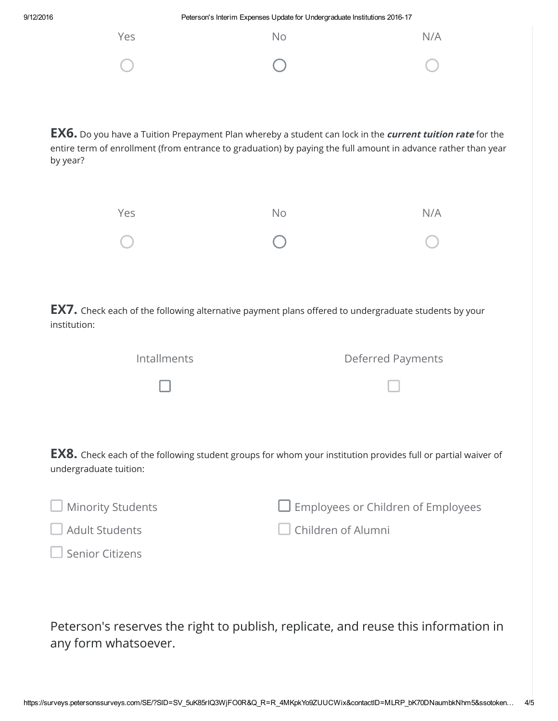| Yes       | No        | N/A            |
|-----------|-----------|----------------|
| $\bigcap$ | $\bigcap$ | $\overline{O}$ |

**EX6.** Do you have a Tuition Prepayment Plan whereby a student can lock in the *current tuition rate* for the entire term of enrollment (from entrance to graduation) by paying the full amount in advance rather than year by year?



**EX8.** Check each of the following student groups for whom your institution provides full or partial waiver of undergraduate tuition:

| $\Box$ Minority Students | $\Box$ Employees or Children of Employees |
|--------------------------|-------------------------------------------|
| $\Box$ Adult Students    | $\Box$ Children of Alumni                 |
| $\Box$ Senior Citizens   |                                           |

Peterson's reserves the right to publish, replicate, and reuse this information in any form whatsoever.